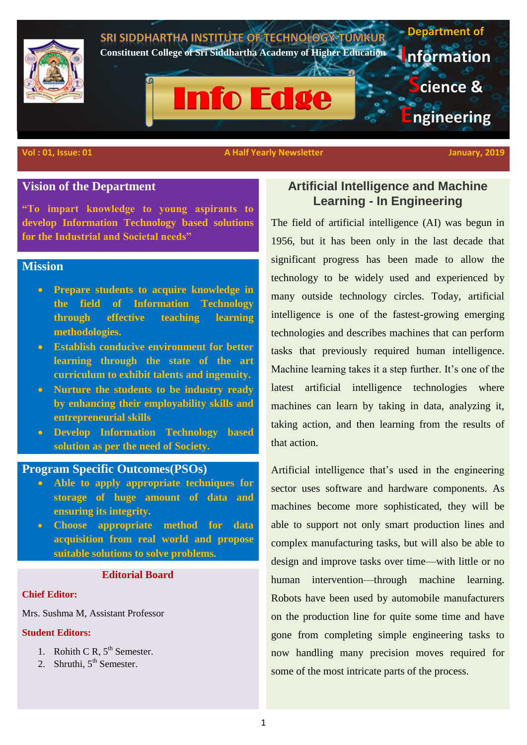

**Vol : 01, Issue: 01** A Half Yearly Newsletter January, 2019

# **Vision of the Department**

**"To impart knowledge to young aspirants to develop Information Technology based solutions for the Industrial and Societal needs"**

# **Mission**

- **Prepare students to acquire knowledge in the field of Information Technology through effective teaching learning methodologies.**
- **Establish conducive environment for better learning through the state of the art curriculum to exhibit talents and ingenuity.**
- **Nurture the students to be industry ready by enhancing their employability skills and entrepreneurial skills**
- **Develop Information Technology based solution as per the need of Society.**

# **Program Specific Outcomes(PSOs)**

- **Able to apply appropriate techniques for storage of huge amount of data and ensuring its integrity.**
- **Choose appropriate method for data acquisition from real world and propose suitable solutions to solve problems.**

## **Editorial Board**

#### **Chief Editor:**

Mrs. Sushma M, Assistant Professor

#### **Student Editors:**

- 1. Rohith C R,  $5^{th}$  Semester.
- 2. Shruthi,  $5<sup>th</sup>$  Semester.

# **Artificial Intelligence and Machine Learning - In Engineering**

The field of artificial intelligence (AI) was begun in 1956, but it has been only in the last decade that significant progress has been made to allow the technology to be widely used and experienced by many outside technology circles. Today, artificial intelligence is one of the fastest-growing emerging technologies and describes machines that can perform tasks that previously required human intelligence. Machine learning takes it a step further. It's one of the latest artificial intelligence technologies where machines can learn by taking in data, analyzing it, taking action, and then learning from the results of that action.

Artificial intelligence that's used in the engineering sector uses software and hardware components. As machines become more sophisticated, they will be able to support not only smart production lines and complex manufacturing tasks, but will also be able to design and improve tasks over time—with little or no human intervention—through machine learning. Robots have been used by automobile manufacturers on the production line for quite some time and have gone from completing simple engineering tasks to now handling many precision moves required for some of the most intricate parts of the process.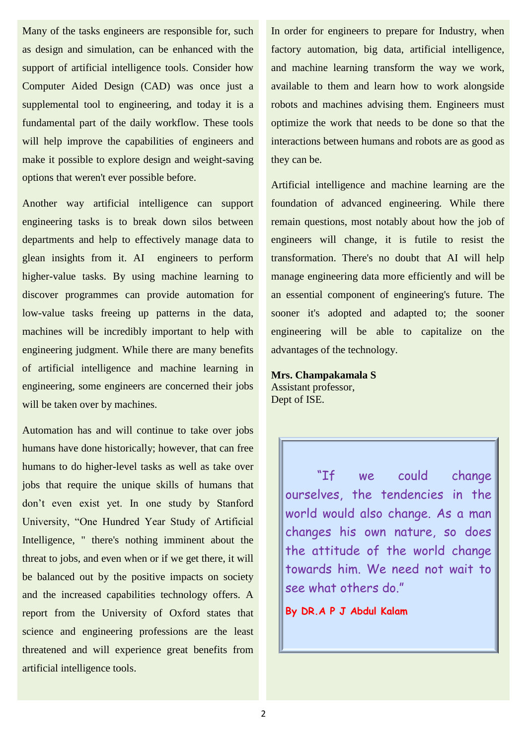Many of the tasks engineers are responsible for, such as design and simulation, can be enhanced with the support of artificial intelligence tools. Consider how Computer Aided Design (CAD) was once just a supplemental tool to engineering, and today it is a fundamental part of the daily workflow. These tools will help improve the capabilities of engineers and make it possible to explore design and weight-saving options that weren't ever possible before.

Another way artificial intelligence can support engineering tasks is to break down silos between departments and help to effectively manage data to glean insights from it. AI engineers to perform higher-value tasks. By using machine learning to discover programmes can provide automation for low-value tasks freeing up patterns in the data, machines will be incredibly important to help with engineering judgment. While there are many benefits of artificial intelligence and machine learning in engineering, some engineers are concerned their jobs will be taken over by machines.

Automation has and will continue to take over jobs humans have done historically; however, that can free humans to do higher-level tasks as well as take over jobs that require the unique skills of humans that don't even exist yet. In one study by Stanford University, "One Hundred Year Study of Artificial Intelligence, " there's nothing imminent about the threat to jobs, and even when or if we get there, it will be balanced out by the positive impacts on society and the increased capabilities technology offers. A report from the University of Oxford states that science and engineering professions are the least threatened and will experience great benefits from artificial intelligence tools.

In order for engineers to prepare for Industry, when factory automation, big data, artificial intelligence, and machine learning transform the way we work, available to them and learn how to work alongside robots and machines advising them. Engineers must optimize the work that needs to be done so that the interactions between humans and robots are as good as they can be.

Artificial intelligence and machine learning are the foundation of advanced engineering. While there remain questions, most notably about how the job of engineers will change, it is futile to resist the transformation. There's no doubt that AI will help manage engineering data more efficiently and will be an essential component of engineering's future. The sooner it's adopted and adapted to; the sooner engineering will be able to capitalize on the advantages of the technology.

**Mrs. Champakamala S** Assistant professor, Dept of ISE.

> "If we could change ourselves, the tendencies in the world would also change. As a man changes his own nature, so does the attitude of the world change towards him. We need not wait to see what others do."

**By DR.A P J Abdul Kalam**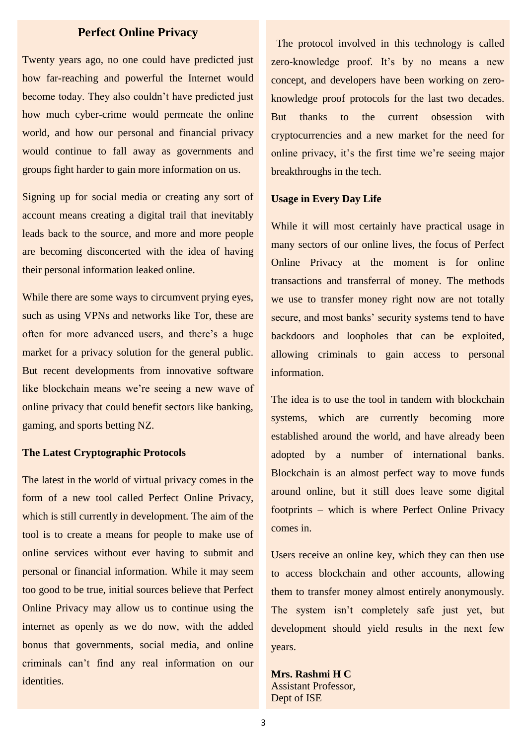# **Perfect Online Privacy**

Twenty years ago, no one could have predicted just how far-reaching and powerful the Internet would become today. They also couldn't have predicted just how much cyber-crime would permeate the online world, and how our personal and financial privacy would continue to fall away as governments and groups fight harder to gain more information on us.

Signing up for social media or creating any sort of account means creating a digital trail that inevitably leads back to the source, and more and more people are becoming disconcerted with the idea of having their personal information leaked online.

While there are some ways to circumvent prying eyes, such as using VPNs and networks like Tor, these are often for more advanced users, and there's a huge market for a privacy solution for the general public. But recent developments from innovative software like blockchain means we're seeing a new wave of online privacy that could benefit sectors like banking, gaming, and sports betting NZ.

# **The Latest Cryptographic Protocols**

The latest in the world of virtual privacy comes in the form of a new tool called Perfect Online Privacy, which is still currently in development. The aim of the tool is to create a means for people to make use of online services without ever having to submit and personal or financial information. While it may seem too good to be true, initial sources believe that Perfect Online Privacy may allow us to continue using the internet as openly as we do now, with the added bonus that governments, social media, and online criminals can't find any real information on our identities.

 The protocol involved in this technology is called zero-knowledge proof. It's by no means a new concept, and developers have been working on zeroknowledge proof protocols for the last two decades. But thanks to the current obsession with cryptocurrencies and a new market for the need for online privacy, it's the first time we're seeing major breakthroughs in the tech.

### **Usage in Every Day Life**

While it will most certainly have practical usage in many sectors of our online lives, the focus of Perfect Online Privacy at the moment is for online transactions and transferral of money. The methods we use to transfer money right now are not totally secure, and most banks' security systems tend to have backdoors and loopholes that can be exploited, allowing criminals to gain access to personal information.

The idea is to use the tool in tandem with blockchain systems, which are currently becoming more established around the world, and have already been adopted by a number of international banks. Blockchain is an almost perfect way to move funds around online, but it still does leave some digital footprints – which is where Perfect Online Privacy comes in.

Users receive an online key, which they can then use to access blockchain and other accounts, allowing them to transfer money almost entirely anonymously. The system isn't completely safe just yet, but development should yield results in the next few years.

**Mrs. Rashmi H C** Assistant Professor, Dept of ISE